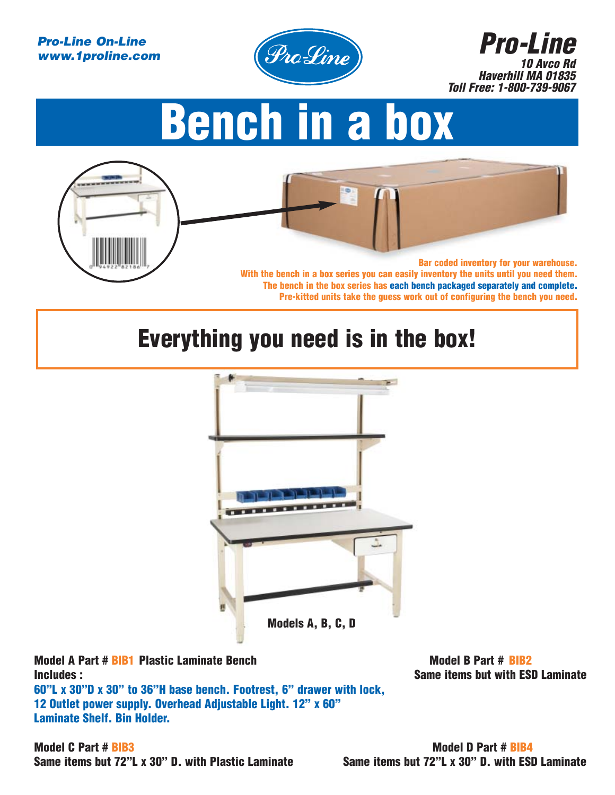### *Pro-Line On-Line www.1proline.com*



*Pro-Line 10 Avco Rd Haverhill MA 01835 Toll Free: 1-800-739-9067*

# **Bench in a box**



## **Everything you need is in the box!**



**Model A Part # BIB1** Plastic Laminate Bench Model B Part # BIB2 **Includes : Same items but with ESD Laminate 60"L x 30"D x 30" to 36"H base bench. Footrest, 6" drawer with lock, 12 Outlet power supply. Overhead Adjustable Light. 12" x 60" Laminate Shelf. Bin Holder.**

**Model C Part # BIB3 Model D Part # BIB4** Same items but 72"L x 30" D. with Plastic Laminate Same items but 72"L x 30" D. with ESD Laminate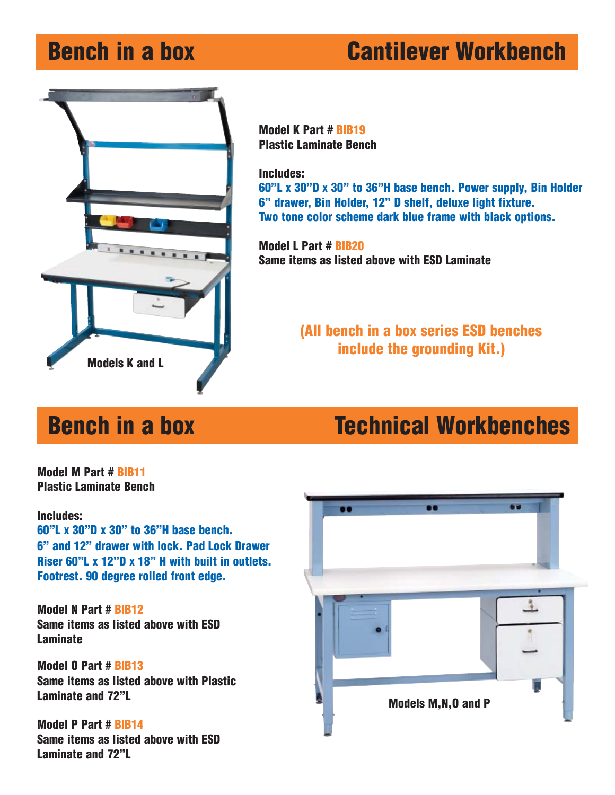## **Bench in a box Cantilever Workbench**



**Model K Part # BIB19 Plastic Laminate Bench**

**Includes:**

**60"L x 30"D x 30" to 36"H base bench. Power supply, Bin Holder 6" drawer, Bin Holder, 12" D shelf, deluxe light fixture. Two tone color scheme dark blue frame with black options.**

**Model L Part # BIB20 Same items as listed above with ESD Laminate** 

### **(All bench in a box series ESD benches include the grounding Kit.)**

## **Bench in a box Technical Workbenches**

**Model M Part # BIB11 Plastic Laminate Bench**

### **Includes:**

**60"L x 30"D x 30" to 36"H base bench. 6" and 12" drawer with lock. Pad Lock Drawer Riser 60"L x 12"D x 18" H with built in outlets. Footrest. 90 degree rolled front edge.**

**Model N Part # BIB12 Same items as listed above with ESD Laminate**

**Model O Part # BIB13 Same items as listed above with Plastic Laminate and 72"L**

**Model P Part # BIB14 Same items as listed above with ESD Laminate and 72"L**

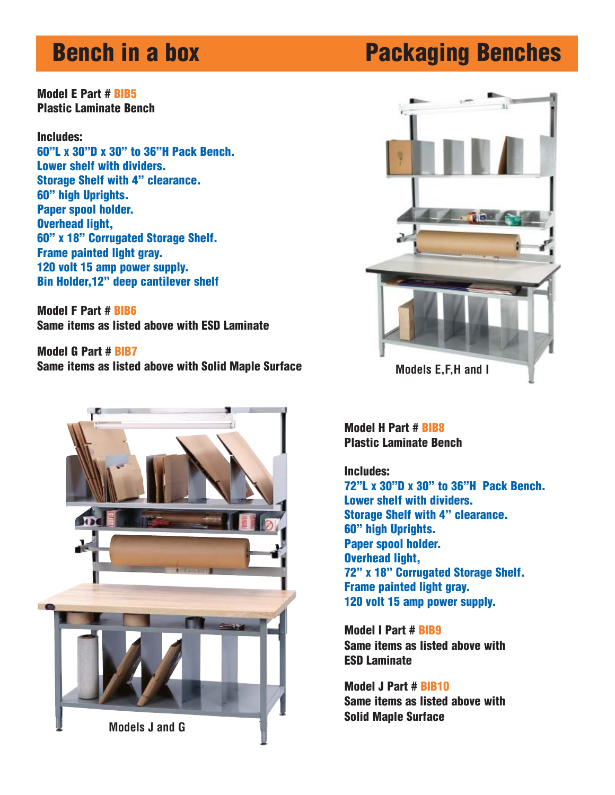**Model E Part # BIB5 Plastic Laminate Bench** 

### **Includes:**

**60"L x 30"D x 30" to 36"H Pack Bench. Lower shelf with dividers. Storage Shelf with 4" clearance. 60" high Uprights. Paper spool holder. Overhead light, 60" x 18" Corrugated Storage Shelf. Frame painted light gray. 120 volt 15 amp power supply. Bin Holder,12" deep cantilever shelf**

**Model F Part # BIB6 Same items as listed above with ESD Laminate** 

**Model G Part # BIB7 Same items as listed above with Solid Maple Surface Models E, F, H and I** 



## **Bench in a box Packaging Benches**

![](_page_2_Picture_8.jpeg)

**Model H Part # BIB8 Plastic Laminate Bench** 

### **Includes:**

**72"L x 30"D x 30" to 36"H Pack Bench. Lower shelf with dividers. Storage Shelf with 4" clearance. 60" high Uprights. Paper spool holder. Overhead light, 72" x 18" Corrugated Storage Shelf. Frame painted light gray. 120 volt 15 amp power supply.**

**Model I Part # BIB9 Same items as listed above with ESD Laminate** 

**Model J Part # BIB10 Same items as listed above with Solid Maple Surface**